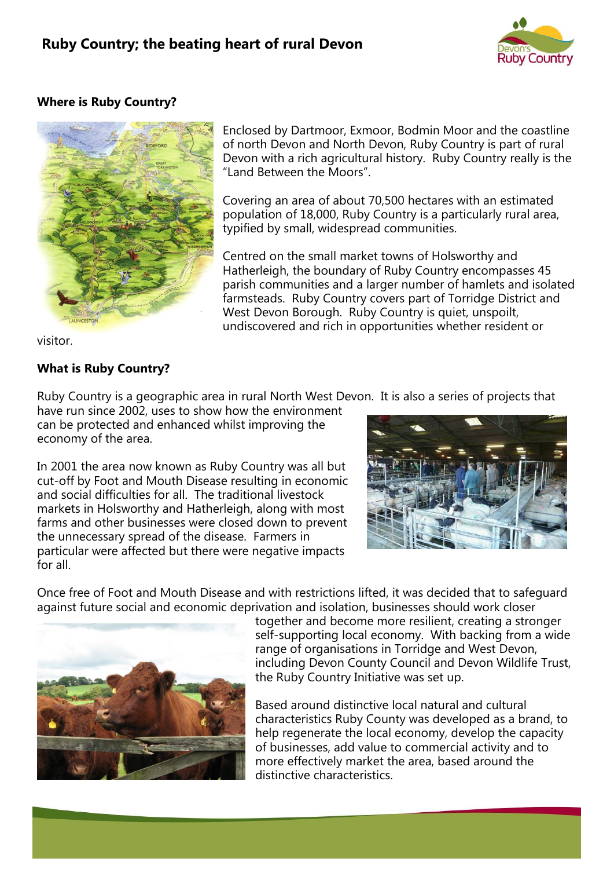## **Ruby Country; the beating heart of rural Devon**



## **Where is Ruby Country?**



Enclosed by Dartmoor, Exmoor, Bodmin Moor and the coastline of north Devon and North Devon, Ruby Country is part of rural Devon with a rich agricultural history. Ruby Country really is the "Land Between the Moors".

Covering an area of about 70,500 hectares with an estimated population of 18,000, Ruby Country is a particularly rural area, typified by small, widespread communities.

Centred on the small market towns of Holsworthy and Hatherleigh, the boundary of Ruby Country encompasses 45 parish communities and a larger number of hamlets and isolated farmsteads. Ruby Country covers part of Torridge District and West Devon Borough. Ruby Country is quiet, unspoilt, undiscovered and rich in opportunities whether resident or

visitor.

## **What is Ruby Country?**

Ruby Country is a geographic area in rural North West Devon. It is also a series of projects that

have run since 2002, uses to show how the environment can be protected and enhanced whilst improving the economy of the area.

In 2001 the area now known as Ruby Country was all but cut-off by Foot and Mouth Disease resulting in economic and social difficulties for all. The traditional livestock markets in Holsworthy and Hatherleigh, along with most farms and other businesses were closed down to prevent the unnecessary spread of the disease. Farmers in particular were affected but there were negative impacts for all.



Once free of Foot and Mouth Disease and with restrictions lifted, it was decided that to safeguard against future social and economic deprivation and isolation, businesses should work closer



together and become more resilient, creating a stronger self-supporting local economy. With backing from a wide range of organisations in Torridge and West Devon, including Devon County Council and Devon Wildlife Trust, the Ruby Country Initiative was set up.

Based around distinctive local natural and cultural characteristics Ruby County was developed as a brand, to help regenerate the local economy, develop the capacity of businesses, add value to commercial activity and to more effectively market the area, based around the distinctive characteristics.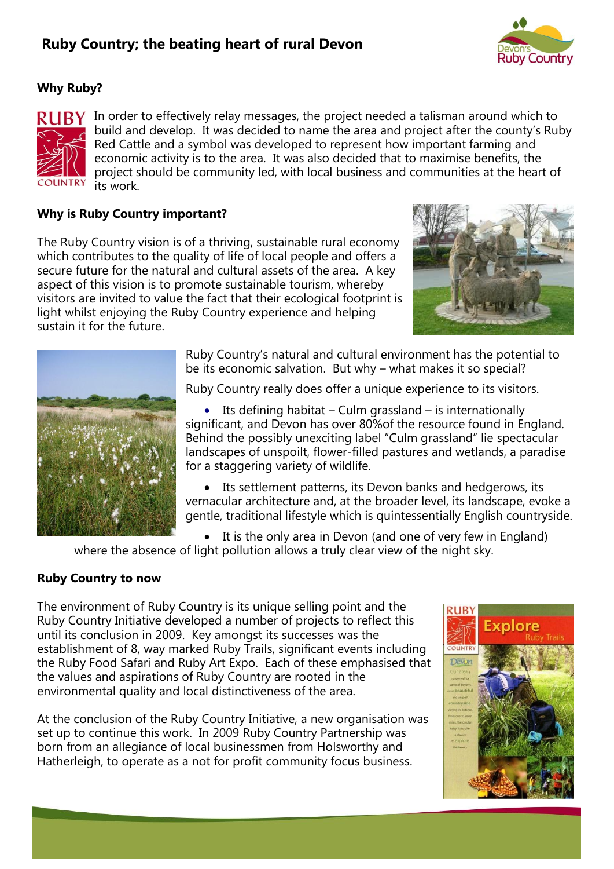# **Ruby Country; the beating heart of rural Devon**



## **Why Ruby?**



 $\mathbf{R} \mathbf{U} \mathbf{B} \mathbf{Y}$  In order to effectively relay messages, the project needed a talisman around which to build and develop. It was decided to name the area and project after the county's Ruby Red Cattle and a symbol was developed to represent how important farming and economic activity is to the area. It was also decided that to maximise benefits, the project should be community led, with local business and communities at the heart of its work.

#### **Why is Ruby Country important?**

The Ruby Country vision is of a thriving, sustainable rural economy which contributes to the quality of life of local people and offers a secure future for the natural and cultural assets of the area. A key aspect of this vision is to promote sustainable tourism, whereby visitors are invited to value the fact that their ecological footprint is light whilst enjoying the Ruby Country experience and helping sustain it for the future.





Ruby Country's natural and cultural environment has the potential to be its economic salvation. But why – what makes it so special?

Ruby Country really does offer a unique experience to its visitors.

Its defining habitat – Culm grassland – is internationally significant, and Devon has over 80%of the resource found in England. Behind the possibly unexciting label "Culm grassland" lie spectacular landscapes of unspoilt, flower-filled pastures and wetlands, a paradise for a staggering variety of wildlife.

• Its settlement patterns, its Devon banks and hedgerows, its vernacular architecture and, at the broader level, its landscape, evoke a gentle, traditional lifestyle which is quintessentially English countryside.

 It is the only area in Devon (and one of very few in England) where the absence of light pollution allows a truly clear view of the night sky.

#### **Ruby Country to now**

The environment of Ruby Country is its unique selling point and the Ruby Country Initiative developed a number of projects to reflect this until its conclusion in 2009. Key amongst its successes was the establishment of 8, way marked Ruby Trails, significant events including the Ruby Food Safari and Ruby Art Expo. Each of these emphasised that the values and aspirations of Ruby Country are rooted in the environmental quality and local distinctiveness of the area.

At the conclusion of the Ruby Country Initiative, a new organisation was set up to continue this work. In 2009 Ruby Country Partnership was born from an allegiance of local businessmen from Holsworthy and Hatherleigh, to operate as a not for profit community focus business.